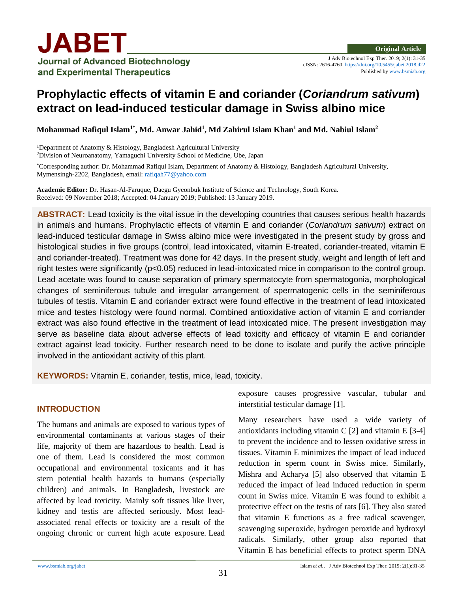Published b[y www.bsmiab.org](http://www.bsmiab.org/)

# **Prophylactic effects of vitamin E and coriander (***Coriandrum sativum***) extract on lead-induced testicular damage in Swiss albino mice**

**Mohammad Rafiqul Islam1\*, Md. Anwar Jahid<sup>1</sup> , Md Zahirul Islam Khan<sup>1</sup> and Md. Nabiul Islam<sup>2</sup>**

<sup>1</sup>Department of Anatomy & Histology, Bangladesh Agricultural University <sup>2</sup>Division of Neuroanatomy, Yamaguchi University School of Medicine, Ube, Japan

\*Corresponding author: Dr. Mohammad Rafiqul Islam, Department of Anatomy & Histology, Bangladesh Agricultural University, Mymensingh-2202, Bangladesh, email[: rafiqah77@yahoo.com](mailto:rafiqah77@yahoo.com)

**Academic Editor:** Dr. Hasan-Al-Faruque, Daegu Gyeonbuk Institute of Science and Technology, South Korea. Received: 09 November 2018; Accepted: 04 January 2019; Published: 13 January 2019.

**ABSTRACT:** Lead toxicity is the vital issue in the developing countries that causes serious health hazards in animals and humans. Prophylactic effects of vitamin E and coriander (*Coriandrum sativum*) extract on lead-induced testicular damage in Swiss albino mice were investigated in the present study by gross and histological studies in five groups (control, lead intoxicated, vitamin E-treated, coriander-treated, vitamin E and coriander-treated). Treatment was done for 42 days. In the present study, weight and length of left and right testes were significantly (p<0.05) reduced in lead-intoxicated mice in comparison to the control group. Lead acetate was found to cause separation of primary spermatocyte from spermatogonia, morphological changes of seminiferous tubule and irregular arrangement of spermatogenic cells in the seminiferous tubules of testis. Vitamin E and coriander extract were found effective in the treatment of lead intoxicated mice and testes histology were found normal. Combined antioxidative action of vitamin E and corriander extract was also found effective in the treatment of lead intoxicated mice. The present investigation may serve as baseline data about adverse effects of lead toxicity and efficacy of vitamin E and coriander extract against lead toxicity. Further research need to be done to isolate and purify the active principle involved in the antioxidant activity of this plant.

**KEYWORDS:** Vitamin E, coriander, testis, mice, lead, toxicity.

# **INTRODUCTION**

The humans and animals are exposed to various types of environmental contaminants at various stages of their life, majority of them are hazardous to health. Lead is one of them. Lead is considered the most common occupational and environmental toxicants and it has stern potential health hazards to humans (especially children) and animals. In Bangladesh, livestock are affected by lead toxicity. Mainly soft tissues like liver, kidney and testis are affected seriously. Most leadassociated renal effects or toxicity are a result of the ongoing chronic or current high acute exposure. Lead exposure causes progressive vascular, tubular and interstitial testicular damage [1].

Many researchers have used a wide variety of antioxidants including vitamin C [2] and vitamin E [3-4] to prevent the incidence and to lessen oxidative stress in tissues. Vitamin E minimizes the impact of lead induced reduction in sperm count in Swiss mice. Similarly, Mishra and Acharya [5] also observed that vitamin E reduced the impact of lead induced reduction in sperm count in Swiss mice. Vitamin E was found to exhibit a protective effect on the testis of rats [6]. They also stated that vitamin E functions as a free radical scavenger, scavenging superoxide, [hydrogen peroxide](http://www.scialert.net/asci/result.php?searchin=Keywords&cat=&ascicat=ALL&Submit=Search&keyword=hydrogen+peroxide) and hydroxyl radicals. Similarly, other group also reported that Vitamin E has beneficial effects to protect sperm DNA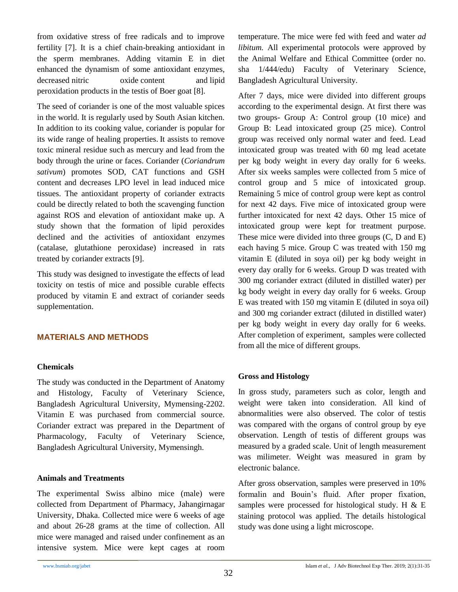from oxidative stress of free radicals and to improve fertility [7]. It is a chief chain-breaking antioxidant in the sperm membranes. Adding vitamin E in diet enhanced the dynamism of some antioxidant enzymes, decreased [nitric oxide](http://scialert.net/asci/result.php?searchin=Keywords&cat=&ascicat=ALL&Submit=Search&keyword=nitric+oxide) content and [lipid](http://www.scialert.net/asci/result.php?searchin=Keywords&cat=&ascicat=ALL&Submit=Search&keyword=lipid+peroxidation)  [peroxidation](http://www.scialert.net/asci/result.php?searchin=Keywords&cat=&ascicat=ALL&Submit=Search&keyword=lipid+peroxidation) products in the testis of Boer goat [8].

The seed of coriander is one of the most valuable spices in the world. It is regularly used by South Asian kitchen. In addition to its cooking value, coriander is popular for its wide range of healing properties. It assists to remove toxic mineral residue such as mercury and lead from the body through the urine or faces. Coriander (*Coriandrum sativum*) promotes SOD, CAT functions and GSH content and decreases LPO level in lead induced mice tissues. The antioxidant property of coriander extracts could be directly related to both the scavenging function against ROS and elevation of antioxidant make up. A study shown that the formation of lipid peroxides declined and the activities of antioxidant enzymes (catalase, glutathione peroxidase) increased in rats treated by coriander extracts [9].

This study was designed to investigate the effects of lead toxicity on testis of mice and possible curable effects produced by vitamin E and extract of coriander seeds supplementation.

# **MATERIALS AND METHODS**

## **Chemicals**

The study was conducted in the Department of Anatomy and Histology, Faculty of Veterinary Science, Bangladesh Agricultural University, Mymensing-2202. Vitamin E was purchased from commercial source. Coriander extract was prepared in the Department of Pharmacology, Faculty of Veterinary Science, Bangladesh Agricultural University, Mymensingh.

#### **Animals and Treatments**

The experimental Swiss albino mice (male) were collected from Department of Pharmacy, Jahangirnagar University, Dhaka. Collected mice were 6 weeks of age and about 26-28 grams at the time of collection. All mice were managed and raised under confinement as an intensive system. Mice were kept cages at room temperature. The mice were fed with feed and water *ad libitum.* All experimental protocols were approved by the Animal Welfare and Ethical Committee (order no. sha 1/444/edu) Faculty of Veterinary Science, Bangladesh Agricultural University.

After 7 days, mice were divided into different groups according to the experimental design. At first there was two groups- Group A: Control group (10 mice) and Group B: Lead intoxicated group (25 mice). Control group was received only normal water and feed. Lead intoxicated group was treated with 60 mg lead acetate per kg body weight in every day orally for 6 weeks. After six weeks samples were collected from 5 mice of control group and 5 mice of intoxicated group. Remaining 5 mice of control group were kept as control for next 42 days. Five mice of intoxicated group were further intoxicated for next 42 days. Other 15 mice of intoxicated group were kept for treatment purpose. These mice were divided into three groups (C, D and E) each having 5 mice. Group C was treated with 150 mg vitamin E (diluted in soya oil) per kg body weight in every day orally for 6 weeks. Group D was treated with 300 mg coriander extract (diluted in distilled water) per kg body weight in every day orally for 6 weeks. Group E was treated with 150 mg vitamin E (diluted in soya oil) and 300 mg coriander extract (diluted in distilled water) per kg body weight in every day orally for 6 weeks. After completion of experiment, samples were collected from all the mice of different groups.

## **Gross and Histology**

In gross study, parameters such as color, length and weight were taken into consideration. All kind of abnormalities were also observed. The color of testis was compared with the organs of control group by eye observation. Length of testis of different groups was measured by a graded scale. Unit of length measurement was milimeter. Weight was measured in gram by electronic balance.

After gross observation, samples were preserved in 10% formalin and Bouin's fluid. After proper fixation, samples were processed for histological study. H & E staining protocol was applied. The details histological study was done using a light microscope.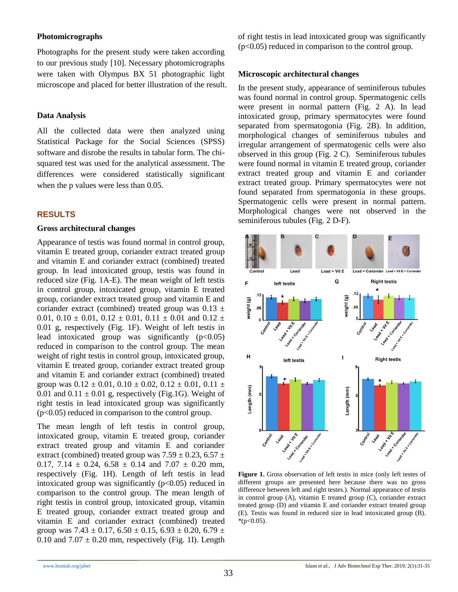## **Photomicrographs**

Photographs for the present study were taken according to our previous study [10]. Necessary photomicrographs were taken with Olympus BX 51 photographic light microscope and placed for better illustration of the result.

#### **Data Analysis**

All the collected data were then analyzed using Statistical Package for the Social Sciences (SPSS) software and disrobe the results in tabular form. The chisquared test was used for the analytical assessment. The differences were considered statistically significant when the p values were less than 0.05.

## **RESULTS**

#### **Gross architectural changes**

Appearance of testis was found normal in control group, vitamin E treated group, coriander extract treated group and vitamin E and coriander extract (combined) treated group. In lead intoxicated group, testis was found in reduced size (Fig. 1A-E). The mean weight of left testis in control group, intoxicated group, vitamin E treated group, coriander extract treated group and vitamin E and coriander extract (combined) treated group was  $0.13 \pm$ 0.01,  $0.10 \pm 0.01$ ,  $0.12 \pm 0.01$ ,  $0.11 \pm 0.01$  and  $0.12 \pm 0.01$ 0.01 g, respectively (Fig. 1F). Weight of left testis in lead intoxicated group was significantly  $(p<0.05)$ reduced in comparison to the control group. The mean weight of right testis in control group, intoxicated group, vitamin E treated group, coriander extract treated group and vitamin E and coriander extract (combined) treated group was  $0.12 \pm 0.01$ ,  $0.10 \pm 0.02$ ,  $0.12 \pm 0.01$ ,  $0.11 \pm 0.01$ 0.01 and  $0.11 \pm 0.01$  g, respectively (Fig.1G). Weight of right testis in lead intoxicated group was significantly  $(p<0.05)$  reduced in comparison to the control group.

The mean length of left testis in control group, intoxicated group, vitamin E treated group, coriander extract treated group and vitamin E and coriander extract (combined) treated group was  $7.59 \pm 0.23$ ,  $6.57 \pm 0.23$ 0.17, 7.14  $\pm$  0.24, 6.58  $\pm$  0.14 and 7.07  $\pm$  0.20 mm, respectively (Fig. 1H). Length of left testis in lead intoxicated group was significantly  $(p<0.05)$  reduced in comparison to the control group. The mean length of right testis in control group, intoxicated group, vitamin E treated group, coriander extract treated group and vitamin E and coriander extract (combined) treated group was  $7.43 \pm 0.17$ ,  $6.50 \pm 0.15$ ,  $6.93 \pm 0.20$ ,  $6.79 \pm 0.20$ 0.10 and  $7.07 \pm 0.20$  mm, respectively (Fig. 1I). Length of right testis in lead intoxicated group was significantly (p<0.05) reduced in comparison to the control group.

#### **Microscopic architectural changes**

In the present study, appearance of seminiferous tubules was found normal in control group. Spermatogenic cells were present in normal pattern (Fig. 2 A). In lead intoxicated group, primary spermatocytes were found separated from spermatogonia (Fig. 2B). In addition, morphological changes of seminiferous tubules and irregular arrangement of spermatogenic cells were also observed in this group (Fig. 2 C). Seminiferous tubules were found normal in vitamin E treated group, coriander extract treated group and vitamin E and coriander extract treated group. Primary spermatocytes were not found separated from spermatogonia in these groups. Spermatogenic cells were present in normal pattern. Morphological changes were not observed in the seminiferous tubules (Fig. 2 D-F).



**Figure 1.** Gross observation of left testis in mice (only left testes of different groups are presented here because there was no gross difference between left and right testes.). Normal appearance of testis in control group (A), vitamin E treated group (C), coriander extract treated group (D) and vitamin E and coriander extract treated group (E). Testis was found in reduced size in lead intoxicated group (B).  $*(p<0.05)$ .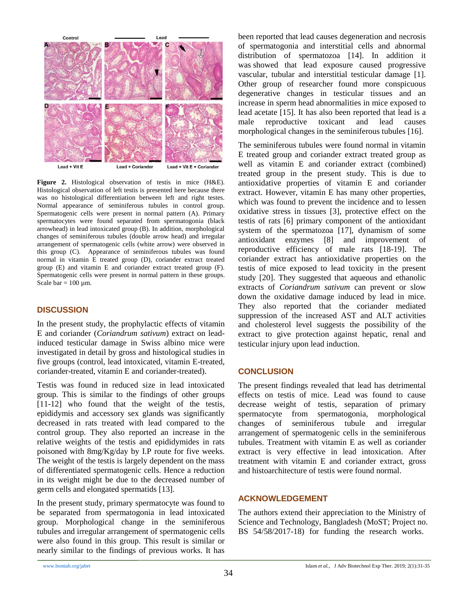

**Figure 2.** Histological observation of testis in mice (H&E). Histological observation of left testis is presented here because there was no histological differentiation between left and right testes. Normal appearance of seminiferous tubules in control group. Spermatogenic cells were present in normal pattern (A). Primary spermatocytes were found separated from spermatogonia (black arrowhead) in lead intoxicated group (B). In addition, morphological changes of seminiferous tubules (double arrow head) and irregular arrangement of spermatogenic cells (white arrow) were observed in this group (C). Appearance of seminiferous tubules was found normal in vitamin E treated group (D), coriander extract treated group (E) and vitamin E and coriander extract treated group (F). Spermatogenic cells were present in normal pattern in these groups. Scale bar =  $100 \mu m$ .

## **DISCUSSION**

In the present study, the prophylactic effects of vitamin E and coriander (*Coriandrum sativum*) extract on leadinduced testicular damage in Swiss albino mice were investigated in detail by gross and histological studies in five groups (control, lead intoxicated, vitamin E-treated, coriander-treated, vitamin E and coriander-treated).

Testis was found in reduced size in lead intoxicated group. This is similar to the findings of other groups [11-12] who found that the weight of the testis, epididymis and accessory sex glands was significantly decreased in rats treated with lead compared to the control group. They also reported an increase in the relative weights of the testis and epididymides in rats poisoned with 8mg/Kg/day by I.P route for five weeks. The weight of the testis is largely dependent on the mass of differentiated spermatogenic cells. Hence a reduction in its weight might be due to the decreased number of germ cells and elongated spermatids [13].

In the present study, primary spermatocyte was found to be separated from spermatogonia in lead intoxicated group. Morphological change in the seminiferous tubules and irregular arrangement of spermatogenic cells were also found in this group. This result is similar or nearly similar to the findings of previous works. It has been reported that lead causes degeneration and necrosis of spermatogonia and interstitial cells and abnormal distribution of spermatozoa [14]. In addition it was showed that lead exposure caused progressive vascular, tubular and interstitial testicular damage [1]. Other group of researcher found more conspicuous degenerative changes in testicular tissues and an increase in sperm head abnormalities in mice exposed to lead acetate [15]. It has also been reported that lead is a male reproductive toxicant and lead causes morphological changes in the seminiferous tubules [16].

The seminiferous tubules were found normal in vitamin E treated group and coriander extract treated group as well as vitamin E and coriander extract (combined) treated group in the present study. This is due to antioxidative properties of vitamin E and coriander extract. However, vitamin E has many other properties, which was found to prevent the incidence and to lessen oxidative stress in tissues [3], protective effect on the testis of rats [6] primary component of the antioxidant system of the spermatozoa [17], dynamism of some antioxidant enzymes [8] and improvement of reproductive efficiency of male rats [18-19]. The coriander extract has antioxidative properties on the testis of mice exposed to lead toxicity in the present study [20]. They suggested that aqueous and ethanolic extracts of *Coriandrum sativum* can prevent or slow down the oxidative damage induced by lead in mice. They also reported that the coriander mediated suppression of the increased AST and ALT activities and cholesterol level suggests the possibility of the extract to give protection against hepatic, renal and testicular injury upon lead induction.

# **CONCLUSION**

The present findings revealed that lead has detrimental effects on testis of mice. Lead was found to cause decrease weight of testis, separation of primary spermatocyte from spermatogonia, morphological changes of seminiferous tubule and irregular arrangement of spermatogenic cells in the seminiferous tubules. Treatment with vitamin E as well as coriander extract is very effective in lead intoxication. After treatment with vitamin E and coriander extract, gross and histoarchitecture of testis were found normal.

## **ACKNOWLEDGEMENT**

The authors extend their appreciation to the Ministry of Science and Technology, Bangladesh (MoST; Project no. BS 54/58/2017-18) for funding the research works.